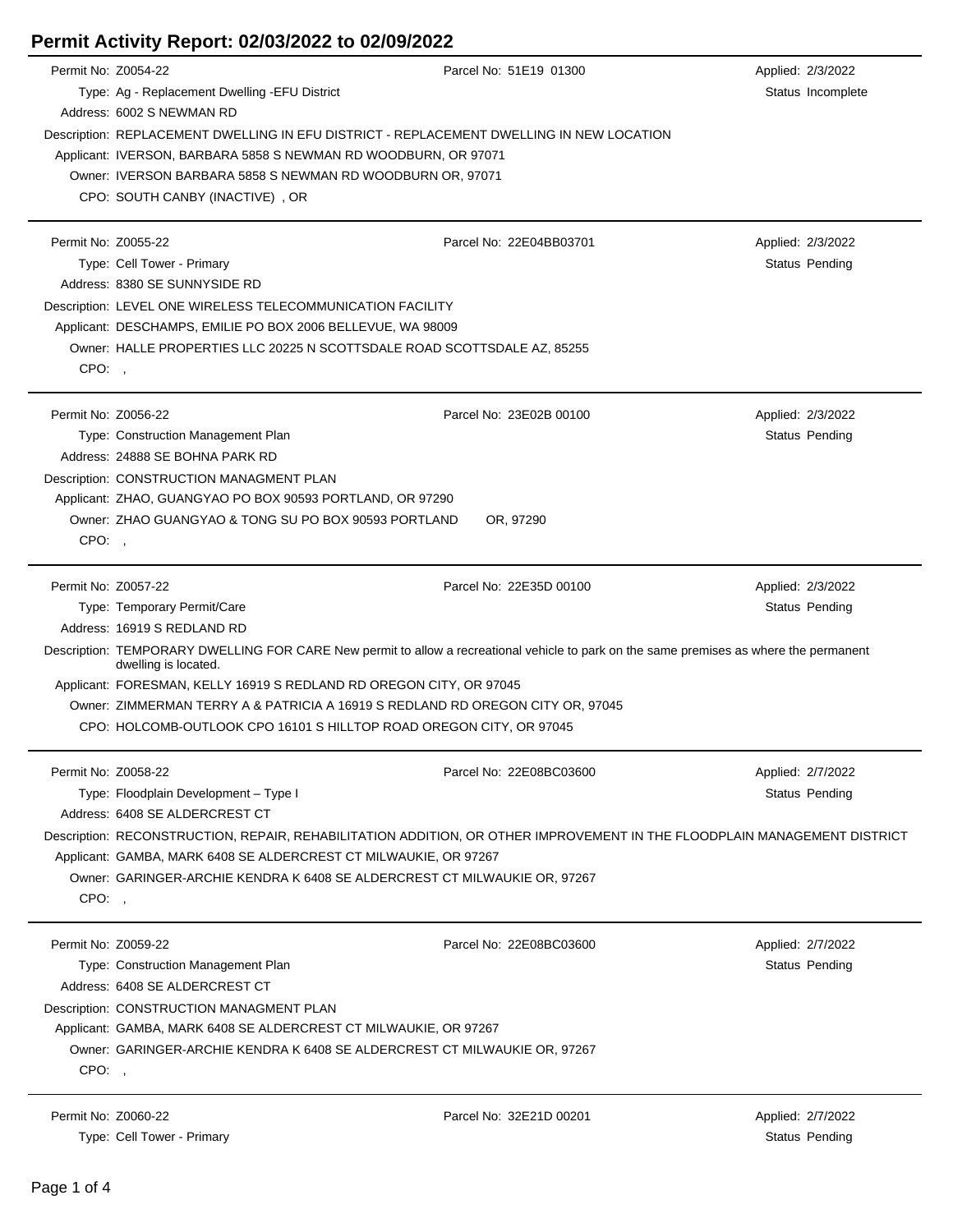| Permit No: Z0054-22 |                                                                                          | Parcel No: 51E19 01300                                                                                                                  | Applied: 2/3/2022     |
|---------------------|------------------------------------------------------------------------------------------|-----------------------------------------------------------------------------------------------------------------------------------------|-----------------------|
|                     | Type: Ag - Replacement Dwelling - EFU District                                           |                                                                                                                                         | Status Incomplete     |
|                     | Address: 6002 S NEWMAN RD                                                                |                                                                                                                                         |                       |
|                     | Description: REPLACEMENT DWELLING IN EFU DISTRICT - REPLACEMENT DWELLING IN NEW LOCATION |                                                                                                                                         |                       |
|                     | Applicant: IVERSON, BARBARA 5858 S NEWMAN RD WOODBURN, OR 97071                          |                                                                                                                                         |                       |
|                     |                                                                                          |                                                                                                                                         |                       |
|                     | Owner: IVERSON BARBARA 5858 S NEWMAN RD WOODBURN OR, 97071                               |                                                                                                                                         |                       |
|                     | CPO: SOUTH CANBY (INACTIVE), OR                                                          |                                                                                                                                         |                       |
|                     |                                                                                          |                                                                                                                                         |                       |
| Permit No: Z0055-22 |                                                                                          | Parcel No: 22E04BB03701                                                                                                                 | Applied: 2/3/2022     |
|                     | Type: Cell Tower - Primary                                                               |                                                                                                                                         | Status Pending        |
|                     | Address: 8380 SE SUNNYSIDE RD                                                            |                                                                                                                                         |                       |
|                     | Description: LEVEL ONE WIRELESS TELECOMMUNICATION FACILITY                               |                                                                                                                                         |                       |
|                     | Applicant: DESCHAMPS, EMILIE PO BOX 2006 BELLEVUE, WA 98009                              |                                                                                                                                         |                       |
|                     | Owner: HALLE PROPERTIES LLC 20225 N SCOTTSDALE ROAD SCOTTSDALE AZ, 85255                 |                                                                                                                                         |                       |
| CPO:,               |                                                                                          |                                                                                                                                         |                       |
|                     |                                                                                          |                                                                                                                                         |                       |
| Permit No: Z0056-22 |                                                                                          | Parcel No: 23E02B 00100                                                                                                                 | Applied: 2/3/2022     |
|                     | Type: Construction Management Plan                                                       |                                                                                                                                         | Status Pending        |
|                     | Address: 24888 SE BOHNA PARK RD                                                          |                                                                                                                                         |                       |
|                     | Description: CONSTRUCTION MANAGMENT PLAN                                                 |                                                                                                                                         |                       |
|                     | Applicant: ZHAO, GUANGYAO PO BOX 90593 PORTLAND, OR 97290                                |                                                                                                                                         |                       |
|                     | Owner: ZHAO GUANGYAO & TONG SU PO BOX 90593 PORTLAND                                     | OR, 97290                                                                                                                               |                       |
| CPO:                |                                                                                          |                                                                                                                                         |                       |
|                     |                                                                                          |                                                                                                                                         |                       |
| Permit No: Z0057-22 |                                                                                          | Parcel No: 22E35D 00100                                                                                                                 | Applied: 2/3/2022     |
|                     | Type: Temporary Permit/Care                                                              |                                                                                                                                         | Status Pending        |
|                     | Address: 16919 S REDLAND RD                                                              |                                                                                                                                         |                       |
|                     | dwelling is located.                                                                     | Description: TEMPORARY DWELLING FOR CARE New permit to allow a recreational vehicle to park on the same premises as where the permanent |                       |
|                     | Applicant: FORESMAN, KELLY 16919 S REDLAND RD OREGON CITY, OR 97045                      |                                                                                                                                         |                       |
|                     | Owner: ZIMMERMAN TERRY A & PATRICIA A 16919 S REDLAND RD OREGON CITY OR, 97045           |                                                                                                                                         |                       |
|                     | CPO: HOLCOMB-OUTLOOK CPO 16101 S HILLTOP ROAD OREGON CITY, OR 97045                      |                                                                                                                                         |                       |
|                     |                                                                                          |                                                                                                                                         |                       |
| Permit No: Z0058-22 |                                                                                          | Parcel No: 22E08BC03600                                                                                                                 | Applied: 2/7/2022     |
|                     | Type: Floodplain Development - Type I                                                    |                                                                                                                                         | Status Pending        |
|                     | Address: 6408 SE ALDERCREST CT                                                           |                                                                                                                                         |                       |
|                     |                                                                                          | Description: RECONSTRUCTION, REPAIR, REHABILITATION ADDITION, OR OTHER IMPROVEMENT IN THE FLOODPLAIN MANAGEMENT DISTRICT                |                       |
|                     | Applicant: GAMBA, MARK 6408 SE ALDERCREST CT MILWAUKIE, OR 97267                         |                                                                                                                                         |                       |
|                     | Owner: GARINGER-ARCHIE KENDRA K 6408 SE ALDERCREST CT MILWAUKIE OR, 97267                |                                                                                                                                         |                       |
| CPO:,               |                                                                                          |                                                                                                                                         |                       |
|                     |                                                                                          |                                                                                                                                         |                       |
| Permit No: Z0059-22 |                                                                                          | Parcel No: 22E08BC03600                                                                                                                 | Applied: 2/7/2022     |
|                     | Type: Construction Management Plan                                                       |                                                                                                                                         | Status Pending        |
|                     | Address: 6408 SE ALDERCREST CT                                                           |                                                                                                                                         |                       |
|                     | Description: CONSTRUCTION MANAGMENT PLAN                                                 |                                                                                                                                         |                       |
|                     | Applicant: GAMBA, MARK 6408 SE ALDERCREST CT MILWAUKIE, OR 97267                         |                                                                                                                                         |                       |
|                     | Owner: GARINGER-ARCHIE KENDRA K 6408 SE ALDERCREST CT MILWAUKIE OR, 97267                |                                                                                                                                         |                       |
| CPO:,               |                                                                                          |                                                                                                                                         |                       |
|                     |                                                                                          |                                                                                                                                         |                       |
| Permit No: Z0060-22 |                                                                                          | Parcel No: 32E21D 00201                                                                                                                 | Applied: 2/7/2022     |
|                     | Type: Cell Tower - Primary                                                               |                                                                                                                                         | <b>Status Pending</b> |
|                     |                                                                                          |                                                                                                                                         |                       |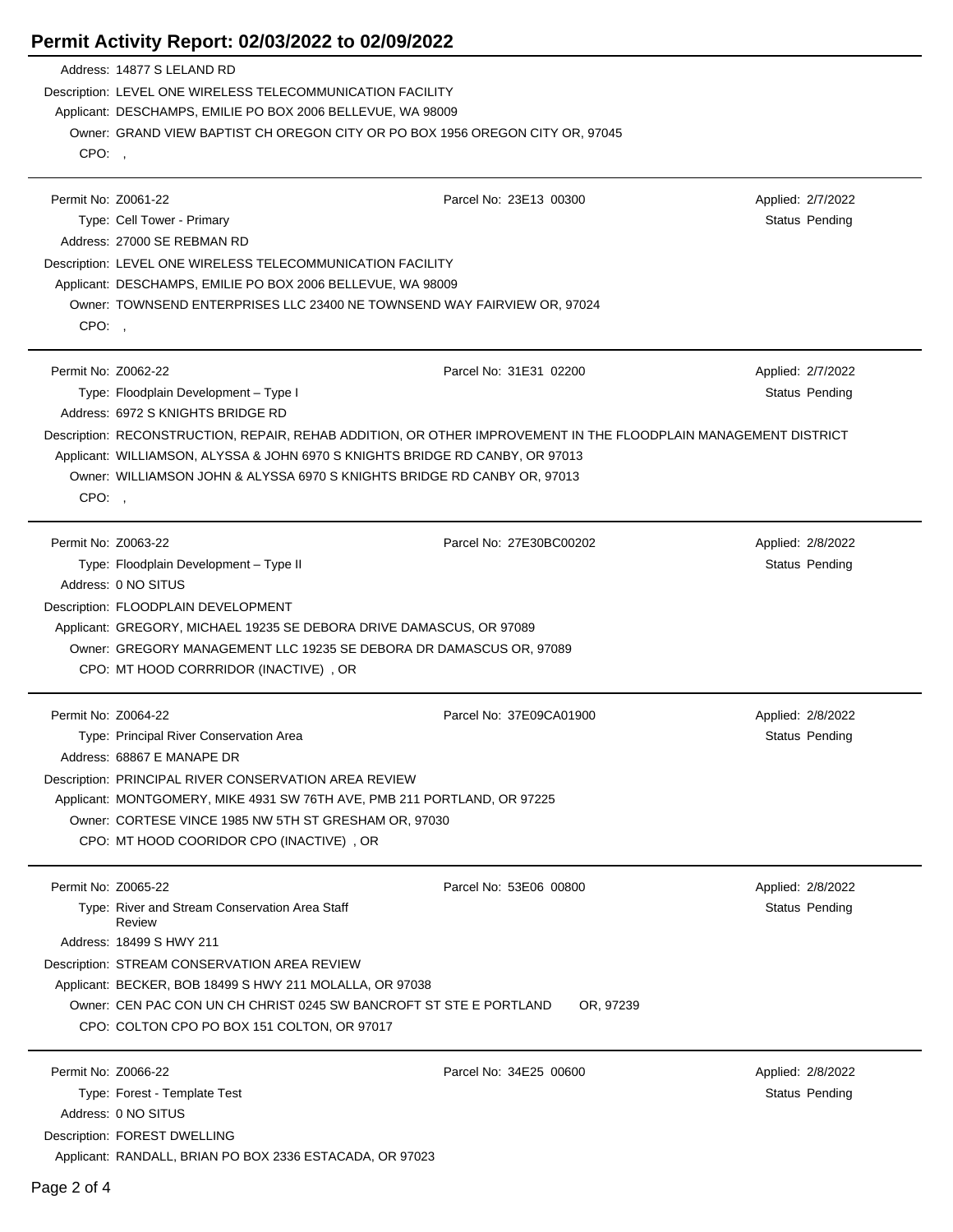$\overline{\phantom{a}}$ 

 $\overline{a}$ 

|                             | Address: 14877 S LELAND RD<br>Description: LEVEL ONE WIRELESS TELECOMMUNICATION FACILITY<br>Applicant: DESCHAMPS, EMILIE PO BOX 2006 BELLEVUE, WA 98009                                                                                                                                      |                         |                                            |
|-----------------------------|----------------------------------------------------------------------------------------------------------------------------------------------------------------------------------------------------------------------------------------------------------------------------------------------|-------------------------|--------------------------------------------|
| CPO:,                       | Owner: GRAND VIEW BAPTIST CH OREGON CITY OR PO BOX 1956 OREGON CITY OR, 97045                                                                                                                                                                                                                |                         |                                            |
| Permit No: Z0061-22         | Type: Cell Tower - Primary<br>Address: 27000 SE REBMAN RD                                                                                                                                                                                                                                    | Parcel No: 23E13 00300  | Applied: 2/7/2022<br>Status Pending        |
|                             | Description: LEVEL ONE WIRELESS TELECOMMUNICATION FACILITY<br>Applicant: DESCHAMPS, EMILIE PO BOX 2006 BELLEVUE, WA 98009<br>Owner: TOWNSEND ENTERPRISES LLC 23400 NE TOWNSEND WAY FAIRVIEW OR, 97024                                                                                        |                         |                                            |
| CPO:<br>Permit No: Z0062-22 |                                                                                                                                                                                                                                                                                              | Parcel No: 31E31 02200  | Applied: 2/7/2022                          |
|                             | Type: Floodplain Development - Type I<br>Address: 6972 S KNIGHTS BRIDGE RD                                                                                                                                                                                                                   |                         | Status Pending                             |
| CPO:                        | Description: RECONSTRUCTION, REPAIR, REHAB ADDITION, OR OTHER IMPROVEMENT IN THE FLOODPLAIN MANAGEMENT DISTRICT<br>Applicant: WILLIAMSON, ALYSSA & JOHN 6970 S KNIGHTS BRIDGE RD CANBY, OR 97013<br>Owner: WILLIAMSON JOHN & ALYSSA 6970 S KNIGHTS BRIDGE RD CANBY OR, 97013                 |                         |                                            |
| Permit No: Z0063-22         | Type: Floodplain Development - Type II<br>Address: 0 NO SITUS<br>Description: FLOODPLAIN DEVELOPMENT<br>Applicant: GREGORY, MICHAEL 19235 SE DEBORA DRIVE DAMASCUS, OR 97089<br>Owner: GREGORY MANAGEMENT LLC 19235 SE DEBORA DR DAMASCUS OR, 97089<br>CPO: MT HOOD CORRRIDOR (INACTIVE), OR | Parcel No: 27E30BC00202 | Applied: 2/8/2022<br>Status Pending        |
| Permit No: Z0064-22         | Type: Principal River Conservation Area<br>Address: 68867 E MANAPE DR                                                                                                                                                                                                                        | Parcel No: 37E09CA01900 | Applied: 2/8/2022<br>Status Pending        |
|                             | Description: PRINCIPAL RIVER CONSERVATION AREA REVIEW<br>Applicant: MONTGOMERY, MIKE 4931 SW 76TH AVE, PMB 211 PORTLAND, OR 97225<br>Owner: CORTESE VINCE 1985 NW 5TH ST GRESHAM OR, 97030<br>CPO: MT HOOD COORIDOR CPO (INACTIVE), OR                                                       |                         |                                            |
| Permit No: Z0065-22         | Type: River and Stream Conservation Area Staff<br>Review<br>Address: 18499 S HWY 211<br>Description: STREAM CONSERVATION AREA REVIEW                                                                                                                                                         | Parcel No: 53E06 00800  | Applied: 2/8/2022<br><b>Status Pending</b> |
|                             | Applicant: BECKER, BOB 18499 S HWY 211 MOLALLA, OR 97038<br>Owner: CEN PAC CON UN CH CHRIST 0245 SW BANCROFT ST STE E PORTLAND<br>CPO: COLTON CPO PO BOX 151 COLTON, OR 97017                                                                                                                | OR, 97239               |                                            |
| Permit No: Z0066-22         | Type: Forest - Template Test<br>Address: 0 NO SITUS<br>Description: FOREST DWELLING<br>Applicant: RANDALL, BRIAN PO BOX 2336 ESTACADA, OR 97023                                                                                                                                              | Parcel No: 34E25 00600  | Applied: 2/8/2022<br>Status Pending        |

 $\overline{a}$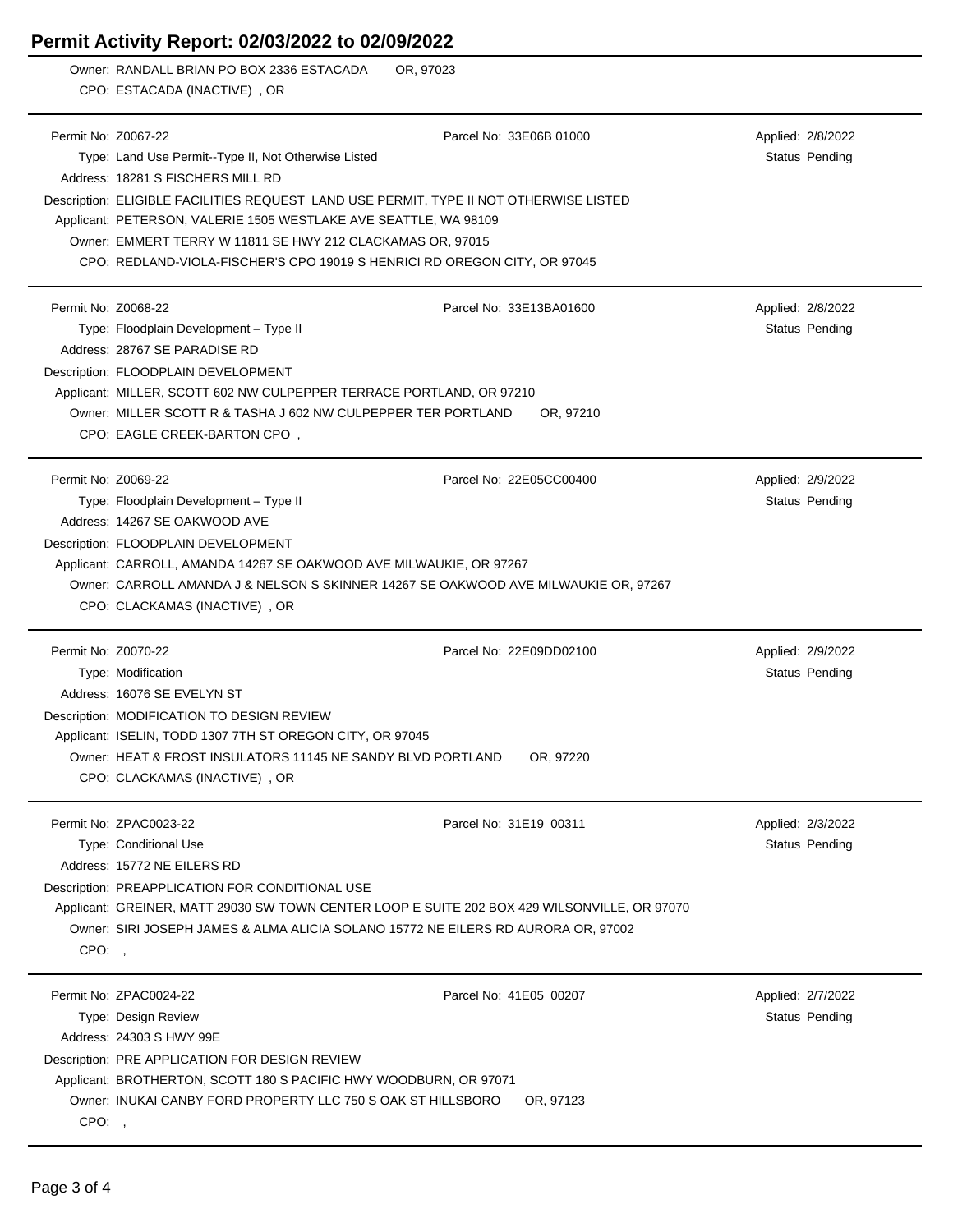|       | OR, 97023<br>Owner: RANDALL BRIAN PO BOX 2336 ESTACADA<br>CPO: ESTACADA (INACTIVE), OR       |                         |                   |
|-------|----------------------------------------------------------------------------------------------|-------------------------|-------------------|
|       |                                                                                              |                         |                   |
|       | Permit No: Z0067-22                                                                          | Parcel No: 33E06B 01000 | Applied: 2/8/2022 |
|       | Type: Land Use Permit--Type II, Not Otherwise Listed                                         |                         | Status Pending    |
|       | Address: 18281 S FISCHERS MILL RD                                                            |                         |                   |
|       | Description: ELIGIBLE FACILITIES REQUEST LAND USE PERMIT, TYPE II NOT OTHERWISE LISTED       |                         |                   |
|       | Applicant: PETERSON, VALERIE 1505 WESTLAKE AVE SEATTLE, WA 98109                             |                         |                   |
|       | Owner: EMMERT TERRY W 11811 SE HWY 212 CLACKAMAS OR, 97015                                   |                         |                   |
|       | CPO: REDLAND-VIOLA-FISCHER'S CPO 19019 S HENRICI RD OREGON CITY, OR 97045                    |                         |                   |
|       |                                                                                              |                         |                   |
|       | Permit No: Z0068-22                                                                          | Parcel No: 33E13BA01600 | Applied: 2/8/2022 |
|       | Type: Floodplain Development - Type II                                                       |                         | Status Pending    |
|       | Address: 28767 SE PARADISE RD                                                                |                         |                   |
|       | Description: FLOODPLAIN DEVELOPMENT                                                          |                         |                   |
|       | Applicant: MILLER, SCOTT 602 NW CULPEPPER TERRACE PORTLAND, OR 97210                         |                         |                   |
|       | Owner: MILLER SCOTT R & TASHA J 602 NW CULPEPPER TER PORTLAND                                | OR, 97210               |                   |
|       | CPO: EAGLE CREEK-BARTON CPO,                                                                 |                         |                   |
|       |                                                                                              |                         |                   |
|       | Permit No: Z0069-22                                                                          | Parcel No: 22E05CC00400 | Applied: 2/9/2022 |
|       | Type: Floodplain Development - Type II                                                       |                         | Status Pending    |
|       | Address: 14267 SE OAKWOOD AVE                                                                |                         |                   |
|       | Description: FLOODPLAIN DEVELOPMENT                                                          |                         |                   |
|       | Applicant: CARROLL, AMANDA 14267 SE OAKWOOD AVE MILWAUKIE, OR 97267                          |                         |                   |
|       | Owner: CARROLL AMANDA J & NELSON S SKINNER 14267 SE OAKWOOD AVE MILWAUKIE OR, 97267          |                         |                   |
|       | CPO: CLACKAMAS (INACTIVE), OR                                                                |                         |                   |
|       | Permit No: Z0070-22                                                                          | Parcel No: 22E09DD02100 | Applied: 2/9/2022 |
|       | Type: Modification                                                                           |                         | Status Pending    |
|       | Address: 16076 SE EVELYN ST                                                                  |                         |                   |
|       | Description: MODIFICATION TO DESIGN REVIEW                                                   |                         |                   |
|       | Applicant: ISELIN, TODD 1307 7TH ST OREGON CITY, OR 97045                                    |                         |                   |
|       | Owner: HEAT & FROST INSULATORS 11145 NE SANDY BLVD PORTLAND                                  | OR, 97220               |                   |
|       | CPO: CLACKAMAS (INACTIVE), OR                                                                |                         |                   |
|       |                                                                                              |                         |                   |
|       | Permit No: ZPAC0023-22                                                                       | Parcel No: 31E19 00311  | Applied: 2/3/2022 |
|       | Type: Conditional Use                                                                        |                         | Status Pending    |
|       | Address: 15772 NE EILERS RD                                                                  |                         |                   |
|       | Description: PREAPPLICATION FOR CONDITIONAL USE                                              |                         |                   |
|       | Applicant: GREINER, MATT 29030 SW TOWN CENTER LOOP E SUITE 202 BOX 429 WILSONVILLE, OR 97070 |                         |                   |
|       | Owner: SIRI JOSEPH JAMES & ALMA ALICIA SOLANO 15772 NE EILERS RD AURORA OR, 97002            |                         |                   |
| CPO:, |                                                                                              |                         |                   |
|       | Permit No: ZPAC0024-22                                                                       | Parcel No: 41E05 00207  | Applied: 2/7/2022 |
|       | Type: Design Review                                                                          |                         | Status Pending    |
|       | Address: 24303 S HWY 99E                                                                     |                         |                   |
|       | Description: PRE APPLICATION FOR DESIGN REVIEW                                               |                         |                   |
|       | Applicant: BROTHERTON, SCOTT 180 S PACIFIC HWY WOODBURN, OR 97071                            |                         |                   |
|       | Owner: INUKAI CANBY FORD PROPERTY LLC 750 S OAK ST HILLSBORO                                 | OR, 97123               |                   |
| CPO:, |                                                                                              |                         |                   |